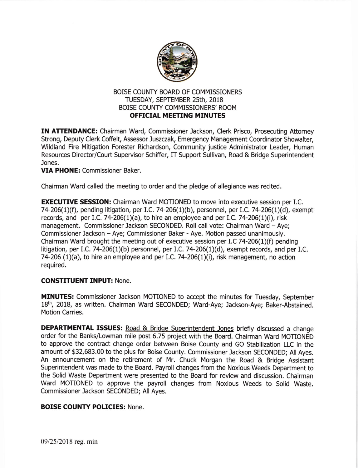

## BOISE COUNTY BOARD OF COMMISSIONERS TUESDAY, SEPTEMBER 25th, 2018 BOISE COUNTY COMMISSIONERS' ROOM OFFICIAL MEETING MINUTES

IN ATTENDANCE: Chairman Ward, Commissioner Jackson, Clerk Prisco, Prosecuting Attorney Strong, Deputy Clerk Coffelt, Assessor Juszczak, Emergency Management Coordinator Showalter, Wildland Fire Mitigation Forester Richardson, Community justice Administrator Leader, Human Resources Director/Court Supervisor Schiffer, IT Support Sullivan, Road & Bridge Superintendent Jones.

## VIA PHONE: Commissioner Baker.

Chairman Ward called the meeting to order and the pledge of allegiance was recited.

**EXECUTIVE SESSION:** Chairman Ward MOTIONED to move into executive session per I.C. 74-206(1)(f), pending litigation, per I.C. 74-206(1)(b), personnel, per I.C. 74-206(1)(d), exempt records, and per I.C. 74-206(1)(a), to hire an employee and per I.C. 74-206(1)(i), risk management. Commissioner Jackson SECONDED. Roll call vote: Chairman Ward - Aye; Commissioner Jackson - Aye; Commissioner Baker - Aye. Motion passed unanimously. Chairman Ward brought the meeting out of executive session per I.C 74-206(1)(f) pending litigation, per I.C. 74-206(1)(b) personnel, per I.C. 74-206(1)(d), exempt records, and per I.C. 74-206 (1)(a), to hire an employee and per I.C. 74-206(1)(i), risk management, no action required.

## CONSTTTUENT INPUT: None.

MINUTES: Commissioner Jackson MOTIONED to accept the minutes for Tuesday, September 18<sup>th</sup>, 2018, as written. Chairman Ward SECONDED; Ward-Aye; Jackson-Aye; Baker-Abstained. Motion Carries.

DEPARTMENTAL ISSUES: Road & Bridge Superintendent Jones briefly discussed a change order for the Banks/Lowman mile post 6.75 project with the Board. Chairman Ward MOTIONED to approve the contract change order between Boise County and GO Stabilization LLC in the amount of \$32,683.00 to the plus for Boise County. Commissioner Jackson SECONDED; All Ayes. An announcement on the retirement of Mr. Chuck Morgan the Road & Bridge Assistant Superintendent was made to the Board. Payroll changes from the Noxious Weeds Depaftment to the Solid Waste Department were presented to the Board for review and discussion. Chairman Ward MOTIONED to approve the payroll changes from Noxious Weeds to Solid Waste. Commissioner Jackson SECONDED; All Ayes.

## BOISE COUNTY POLICIES: None.